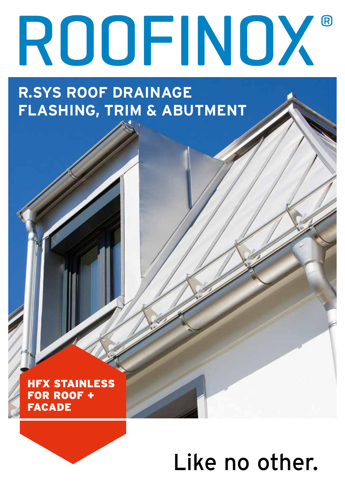# ROOFINOX®

**R.SYS ROOF DRAINAGE FLASHING, TRIM & ABUTMENT**

**HFX STAINLESS FOR ROOF + FACADE** 

# Like no other.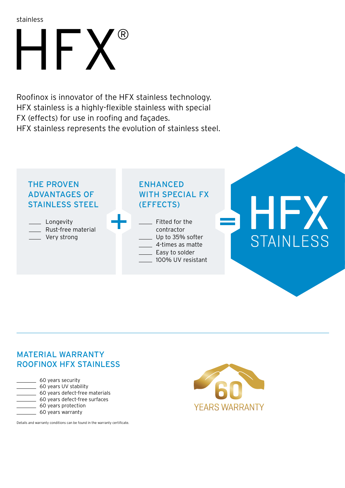stainless

# $\mathsf{HF} \hspace{0.05cm}\mathsf{X}$

Roofinox is innovator of the HFX stainless technology. HFX stainless is a highly-flexible stainless with special FX (effects) for use in roofing and façades. HFX stainless represents the evolution of stainless steel.



## MATERIAL WARRANTY ROOFINOX HFX STAINLESS

| 60 years security              |
|--------------------------------|
| 60 years UV stability          |
| 60 years defect-free materials |
| 60 years defect-free surfaces  |
| 60 years protection            |
| 60 years warranty              |
|                                |

Details and warranty conditions can be found in the warranty certificate.

**YEARS WARRANTY**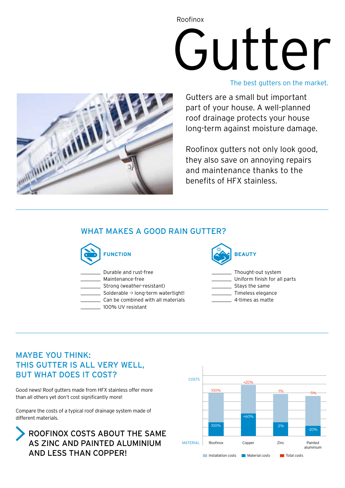# Gutter Roofinox

### The best gutters on the market.



Gutters are a small but important part of your house. A well-planned roof drainage protects your house long-term against moisture damage.

Roofinox gutters not only look good, they also save on annoying repairs and maintenance thanks to the benefits of HFX stainless.

# WHAT MAKES A GOOD RAIN GUTTER?



Durable and rust-free

Maintenance-free

Strong (weather-resistant)

\_ Solderable -> long-term watertight! Can be combined with all materials

100% UV resistant



Thought-out system

- Uniform finish for all parts
- **Stays the same**
- Timeless elegance
- 4-times as matte

# MAYBE YOU THINK: THIS GUTTER IS ALL VERY WELL, BUT WHAT DOES IT COST?

Good news! Roof gutters made from HFX stainless offer more than all others yet don't cost significantly more!

Compare the costs of a typical roof drainage system made of different materials.



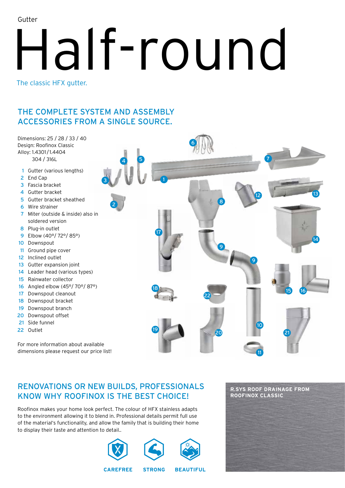Gutter

# Half-round The classic HFX gutter.

7

16

 21

# THE COMPLETE SYSTEM AND ASSEMBLY ACCESSORIES FROM A SINGLE SOURCE.

Dimensions: 25 / 28 / 33 / 40 Design: Roofinox Classic Alloy: 1.4301/1.4404 304 / 316L

- Gutter (various lengths)
- End Cap
- Fascia bracket
- Gutter bracket
- Gutter bracket sheathed
- Wire strainer
- Miter (outside & inside) also in soldered version
- Plug-in outlet
- Elbow (40°/ 72°/ 85°)
- Downspout
- 11 Ground pipe cover
- Inclined outlet
- 13 Gutter expansion joint
- Leader head (various types)
- Rainwater collector
- Angled elbow (45°/ 70°/ 87°)
- Downspout cleanout
- Downspout bracket
- Downspout branch
- Downspout offset
- Side funnel
- Outlet

For more information about available dimensions please request our price list!

# RENOVATIONS OR NEW BUILDS, PROFESSIONALS KNOW WHY ROOFINOX IS THE BEST CHOICE!

Roofinox makes your home look perfect. The colour of HFX stainless adapts to the environment allowing it to blend in. Professional details permit full use of the material's functionality, and allow the family that is building their home to display their taste and attention to detail..



# **R.SYS ROOF DRAINAGE FROM ROOFINOX CLASSIC**

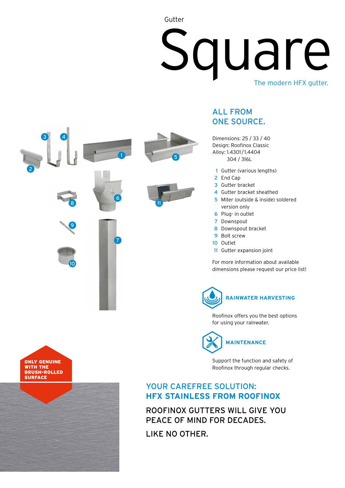# Square Gutter The modern HFX gutter.



# ALL FROM ONE SOURCE.

Dimensions: 25 / 33 / 40 Design: Roofinox Classic Alloy: 1.4301 / 1.4404 304 / 316L

- 1 Gutter (various lengths)
- 2 End Cap
- 3 Gutter bracket
- 4 Gutter bracket sheathed 5 Miter (outside & inside) soldered
- version only
- 6 Plug- in outlet
- 7 Downspout
- 8 Downspout bracket
- 9 Bolt screw
- 10 Outlet
- 11 Gutter expansion joint

For more information about available dimensions please request our price list!



Roofinox offers you the best options for using your rainwater.

**MAINTENANCE**

Support the function and safety of Roofinox through regular checks.

## YOUR CAREFREE SOLUTION: **HFX STAINLESS FROM ROOFINOX**

ROOFINOX GUTTERS WILL GIVE YOU PEACE OF MIND FOR DECADES.

LIKE NO OTHER.

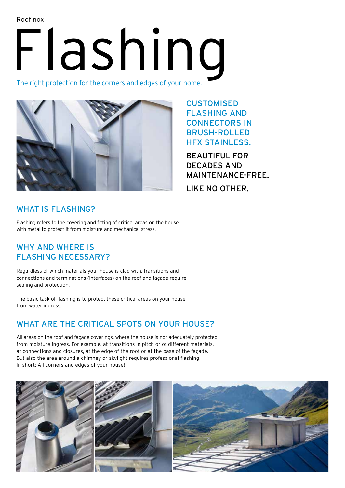Roofinox

# Flashing

The right protection for the corners and edges of your home.



CUSTOMISED FLASHING AND CONNECTORS IN BRUSH-ROLLED HFX STAINLESS.

BEAUTIFUL FOR DECADES AND MAINTENANCE-FREE. LIKE NO OTHER.

# WHAT IS FLASHING?

Flashing refers to the covering and fitting of critical areas on the house with metal to protect it from moisture and mechanical stress.

# WHY AND WHERE IS FLASHING NECESSARY?

Regardless of which materials your house is clad with, transitions and connections and terminations (interfaces) on the roof and façade require sealing and protection.

The basic task of flashing is to protect these critical areas on your house from water ingress.

# WHAT ARE THE CRITICAL SPOTS ON YOUR HOUSE?

All areas on the roof and façade coverings, where the house is not adequately protected from moisture ingress. For example, at transitions in pitch or of different materials, at connections and closures, at the edge of the roof or at the base of the façade. But also the area around a chimney or skylight requires professional flashing. In short: All corners and edges of your house!

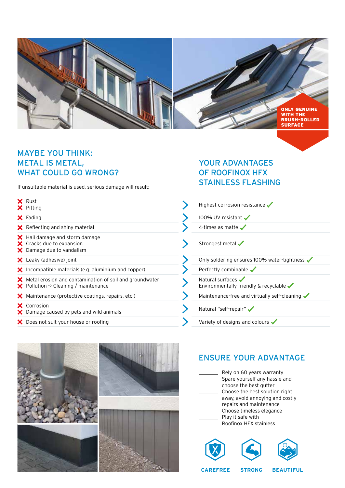

# MAYBE YOU THINK: METAL IS METAL, WHAT COULD GO WRONG?

If unsuitable material is used, serious damage will result:

| $\times$ Rust<br>$\times$ Pitting                                                                                          |
|----------------------------------------------------------------------------------------------------------------------------|
| $\mathsf{\times}$ Fading                                                                                                   |
| $\mathsf{\times}$ Reflecting and shiny material                                                                            |
| X Hail damage and storm damage<br>X Cracks due to expansion<br>$\boldsymbol{\times}$ Damage due to vandalism               |
| $\mathsf{\times}$ Leaky (adhesive) joint                                                                                   |
| $\bm{\times}$ Incompatible materials (e.g. aluminium and copper)                                                           |
| $\bm{\times}$ Metal erosion and contamination of soil and groundwater<br>$\bm{\times}$ Pollution -> Cleaning / maintenance |
| $\blacktriangleright$ Maintenance (protective coatings, repairs, etc.)                                                     |
| X Corrosion<br>X Damage caused by pets and wild animals                                                                    |
| X Does not suit your house or roofing                                                                                      |

# YOUR ADVANTAGES OF ROOFINOX HFX STAINLESS FLASHING

| Highest corrosion resistance                                              |
|---------------------------------------------------------------------------|
| 100% UV resistant                                                         |
| 4-times as matte $\sqrt{\phantom{a}}$                                     |
| Strongest metal                                                           |
| Only soldering ensures 100% water-tightness                               |
| Perfectly combinable                                                      |
| Natural surfaces<br>Environmentally friendly $\&$ recyclable $\checkmark$ |
| Maintenance-free and virtually self-cleaning                              |
| Natural "self-repair"                                                     |
| Variety of designs and colours $\checkmark$                               |



# ENSURE YOUR ADVANTAGE



**CAREFREE STRONG BEAUTIFUL**